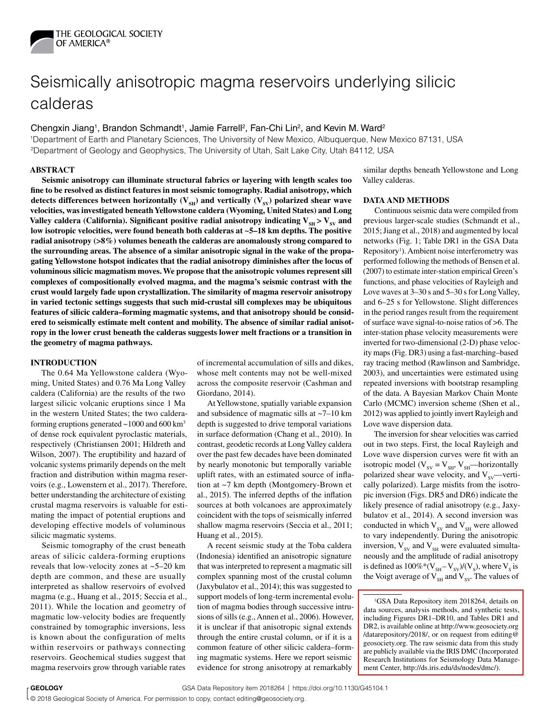

# Seismically anisotropic magma reservoirs underlying silicic calderas

Chengxin Jiang<sup>1</sup>, Brandon Schmandt<sup>1</sup>, Jamie Farrell<sup>2</sup>, Fan-Chi Lin<sup>2</sup>, and Kevin M. Ward<sup>2</sup>

1Department of Earth and Planetary Sciences, The University of New Mexico, Albuquerque, New Mexico 87131, USA 2Department of Geology and Geophysics, The University of Utah, Salt Lake City, Utah 84112, USA

## **ABSTRACT**

**Seismic anisotropy can illuminate structural fabrics or layering with length scales too fine to be resolved as distinct features in most seismic tomography. Radial anisotropy, which**  detects differences between horizontally  $(V_{\text{SH}})$  and vertically  $(V_{\text{SV}})$  polarized shear wave **velocities, was investigated beneath Yellowstone caldera (Wyoming, United States) and Long**  Valley caldera (California). Significant positive radial anisotropy indicating  $V_{\rm cr}$  >  $V_{\rm cv}$  and **low isotropic velocities, were found beneath both calderas at ~5–18 km depths. The positive radial anisotropy (>8%) volumes beneath the calderas are anomalously strong compared to the surrounding areas. The absence of a similar anisotropic signal in the wake of the propagating Yellowstone hotspot indicates that the radial anisotropy diminishes after the locus of voluminous silicic magmatism moves. We propose that the anisotropic volumes represent sill complexes of compositionally evolved magma, and the magma's seismic contrast with the crust would largely fade upon crystallization. The similarity of magma reservoir anisotropy in varied tectonic settings suggests that such mid-crustal sill complexes may be ubiquitous features of silicic caldera–forming magmatic systems, and that anisotropy should be considered to seismically estimate melt content and mobility. The absence of similar radial anisotropy in the lower crust beneath the calderas suggests lower melt fractions or a transition in the geometry of magma pathways.**

#### **INTRODUCTION**

The 0.64 Ma Yellowstone caldera (Wyoming, United States) and 0.76 Ma Long Valley caldera (California) are the results of the two largest silicic volcanic eruptions since 1 Ma in the western United States; the two calderaforming eruptions generated  $\sim$ 1000 and 600 km<sup>3</sup> of dense rock equivalent pyroclastic materials, respectively (Christiansen 2001; Hildreth and Wilson, 2007). The eruptibility and hazard of volcanic systems primarily depends on the melt fraction and distribution within magma reservoirs (e.g., Lowenstern et al., 2017). Therefore, better understanding the architecture of existing crustal magma reservoirs is valuable for estimating the impact of potential eruptions and developing effective models of voluminous silicic magmatic systems.

Seismic tomography of the crust beneath areas of silicic caldera-forming eruptions reveals that low-velocity zones at ~5–20 km depth are common, and these are usually interpreted as shallow reservoirs of evolved magma (e.g., Huang et al., 2015; Seccia et al., 2011). While the location and geometry of magmatic low-velocity bodies are frequently constrained by tomographic inversions, less is known about the configuration of melts within reservoirs or pathways connecting reservoirs. Geochemical studies suggest that magma reservoirs grow through variable rates

of incremental accumulation of sills and dikes, whose melt contents may not be well-mixed across the composite reservoir (Cashman and Giordano, 2014).

At Yellowstone, spatially variable expansion and subsidence of magmatic sills at ~7–10 km depth is suggested to drive temporal variations in surface deformation (Chang et al., 2010). In contrast, geodetic records at Long Valley caldera over the past few decades have been dominated by nearly monotonic but temporally variable uplift rates, with an estimated source of inflation at ~7 km depth (Montgomery-Brown et al., 2015). The inferred depths of the inflation sources at both volcanoes are approximately coincident with the tops of seismically inferred shallow magma reservoirs (Seccia et al., 2011; Huang et al., 2015).

A recent seismic study at the Toba caldera (Indonesia) identified an anisotropic signature that was interpreted to represent a magmatic sill complex spanning most of the crustal column (Jaxybulatov et al., 2014); this was suggested to support models of long-term incremental evolution of magma bodies through successive intrusions of sills (e.g., Annen et al., 2006). However, it is unclear if that anisotropic signal extends through the entire crustal column, or if it is a common feature of other silicic caldera–forming magmatic systems. Here we report seismic evidence for strong anisotropy at remarkably

similar depths beneath Yellowstone and Long Valley calderas.

## **DATA AND METHODS**

Continuous seismic data were compiled from previous larger-scale studies (Schmandt et al., 2015; Jiang et al., 2018) and augmented by local networks (Fig. 1; Table DR1 in the GSA Data Repository<sup>1</sup>). Ambient noise interferometry was performed following the methods of Bensen et al. (2007) to estimate inter-station empirical Green's functions, and phase velocities of Rayleigh and Love waves at 3–30 s and 5–30 s for Long Valley, and 6–25 s for Yellowstone. Slight differences in the period ranges result from the requirement of surface wave signal-to-noise ratios of >6. The inter-station phase velocity measurements were inverted for two-dimensional (2-D) phase velocity maps (Fig. DR3) using a fast-marching–based ray tracing method (Rawlinson and Sambridge, 2003), and uncertainties were estimated using repeated inversions with bootstrap resampling of the data. A Bayesian Markov Chain Monte Carlo (MCMC) inversion scheme (Shen et al., 2012) was applied to jointly invert Rayleigh and Love wave dispersion data.

The inversion for shear velocities was carried out in two steps. First, the local Rayleigh and Love wave dispersion curves were fit with an isotropic model ( $V_{SV} = V_{SH}$ ,  $V_{SH}$ —horizontally polarized shear wave velocity, and  $V_{sv}$ —vertically polarized). Large misfits from the isotropic inversion (Figs. DR5 and DR6) indicate the likely presence of radial anisotropy (e.g., Jaxybulatov et al., 2014). A second inversion was conducted in which  $V_{SV}$  and  $V_{SH}$  were allowed to vary independently. During the anisotropic inversion,  $V_{SV}$  and  $V_{SH}$  were evaluated simultaneously and the amplitude of radial anisotropy is defined as  $100\%*(V_{SH} - V_{SV})/(V_s)$ , where  $V_s$  is the Voigt average of  $V_{\text{SH}}$  and  $V_{\text{SV}}$ . The values of

<sup>&</sup>lt;sup>1</sup>GSA Data Repository item 2018264, details on [data sources, analysis methods, and synthetic tests,](http://www.geosociety.org/datarepository/2018/)  including Figures DR1–DR10, and Tables DR1 and DR2, is available online at http://www.geosociety.org /datarepository/2018/, or on request from editing@ geosociety.org. The raw seismic data from this study are publicly available via the IRIS DMC (Incorporated Research Institutions for Seismology Data Management Center, [http://ds.iris.edu/ds/nodes/dmc/\)](http://ds.iris.edu/ds/nodes/dmc/).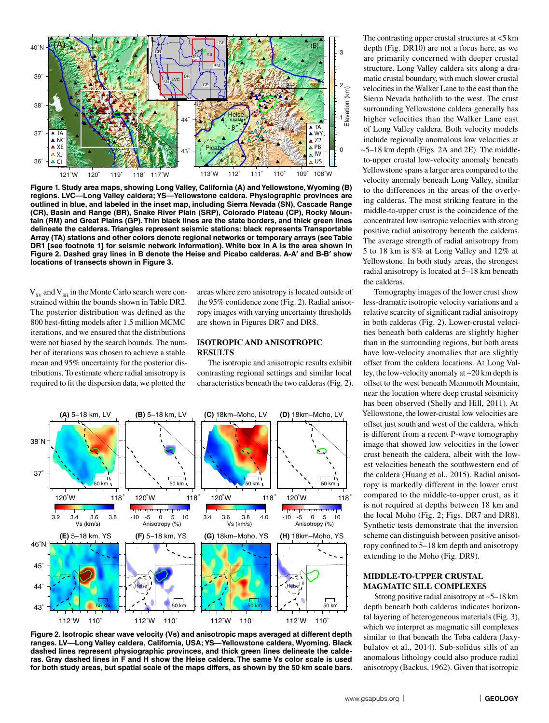

**Figure 1. Study area maps, showing Long Valley, California (A) and Yellowstone, Wyoming (B) regions. LVC—Long Valley caldera; YS—Yellowstone caldera. Physiographic provinces are outlined in blue, and labeled in the inset map, including Sierra Nevada (SN), Cascade Range (CR), Basin and Range (BR), Snake River Plain (SRP), Colorado Plateau (CP), Rocky Mountain (RM) and Great Plains (GP). Thin black lines are the state borders, and thick green lines delineate the calderas. Triangles represent seismic stations: black represents Transportable Array (TA) stations and other colors denote regional networks or temporary arrays (see Table DR1 [see footnote 1] for seismic network information). White box in A is the area shown in Figure 2. Dashed gray lines in B denote the Heise and Picabo calderas. A-A**′ **and B-B**′ **show locations of transects shown in Figure 3.**

 $V_{\rm sv}$  and  $V_{\rm SH}$  in the Monte Carlo search were constrained within the bounds shown in Table DR2. The posterior distribution was defined as the 800 best-fitting models after 1.5 million MCMC iterations, and we ensured that the distributions were not biased by the search bounds. The number of iterations was chosen to achieve a stable mean and 95% uncertainty for the posterior distributions. To estimate where radial anisotropy is required to fit the dispersion data, we plotted the

areas where zero anisotropy is located outside of the 95% confidence zone (Fig. 2). Radial anisotropy images with varying uncertainty thresholds are shown in Figures DR7 and DR8.

#### **ISOTROPIC AND ANISOTROPIC RESULTS**

The isotropic and anisotropic results exhibit contrasting regional settings and similar local characteristics beneath the two calderas (Fig. 2).



**Figure 2. Isotropic shear wave velocity (Vs) and anisotropic maps averaged at different depth ranges. LV—Long Valley caldera, California, USA; YS—Yellowstone caldera, Wyoming. Black dashed lines represent physiographic provinces, and thick green lines delineate the calderas. Gray dashed lines in F and H show the Heise caldera. The same Vs color scale is used for both study areas, but spatial scale of the maps differs, as shown by the 50 km scale bars.**

The contrasting upper crustal structures at <5 km depth (Fig. DR10) are not a focus here, as we are primarily concerned with deeper crustal structure. Long Valley caldera sits along a dramatic crustal boundary, with much slower crustal velocities in the Walker Lane to the east than the Sierra Nevada batholith to the west. The crust surrounding Yellowstone caldera generally has higher velocities than the Walker Lane east of Long Valley caldera. Both velocity models include regionally anomalous low velocities at  $\sim$  5–18 km depth (Figs. 2A and 2E). The middleto-upper crustal low-velocity anomaly beneath Yellowstone spans a larger area compared to the velocity anomaly beneath Long Valley, similar to the differences in the areas of the overlying calderas. The most striking feature in the middle-to-upper crust is the coincidence of the concentrated low isotropic velocities with strong positive radial anisotropy beneath the calderas. The average strength of radial anisotropy from 5 to 18 km is 8% at Long Valley and 12% at Yellowstone. In both study areas, the strongest radial anisotropy is located at 5–18 km beneath the calderas.

Tomography images of the lower crust show less-dramatic isotropic velocity variations and a relative scarcity of significant radial anisotropy in both calderas (Fig. 2). Lower-crustal velocities beneath both calderas are slightly higher than in the surrounding regions, but both areas have low-velocity anomalies that are slightly offset from the caldera locations. At Long Valley, the low-velocity anomaly at ~20 km depth is offset to the west beneath Mammoth Mountain, near the location where deep crustal seismicity has been observed (Shelly and Hill, 2011). At Yellowstone, the lower-crustal low velocities are offset just south and west of the caldera, which is different from a recent P-wave tomography image that showed low velocities in the lower crust beneath the caldera, albeit with the lowest velocities beneath the southwestern end of the caldera (Huang et al., 2015). Radial anisotropy is markedly different in the lower crust compared to the middle-to-upper crust, as it is not required at depths between 18 km and the local Moho (Fig. 2; Figs. DR7 and DR8). Synthetic tests demonstrate that the inversion scheme can distinguish between positive anisotropy confined to 5–18 km depth and anisotropy extending to the Moho (Fig. DR9).

### **MIDDLE-TO-UPPER CRUSTAL MAGMATIC SILL COMPLEXES**

Strong positive radial anisotropy at ~5–18 km depth beneath both calderas indicates horizontal layering of heterogeneous materials (Fig. 3), which we interpret as magmatic sill complexes similar to that beneath the Toba caldera (Jaxybulatov et al., 2014). Sub-solidus sills of an anomalous lithology could also produce radial anisotropy (Backus, 1962). Given that isotropic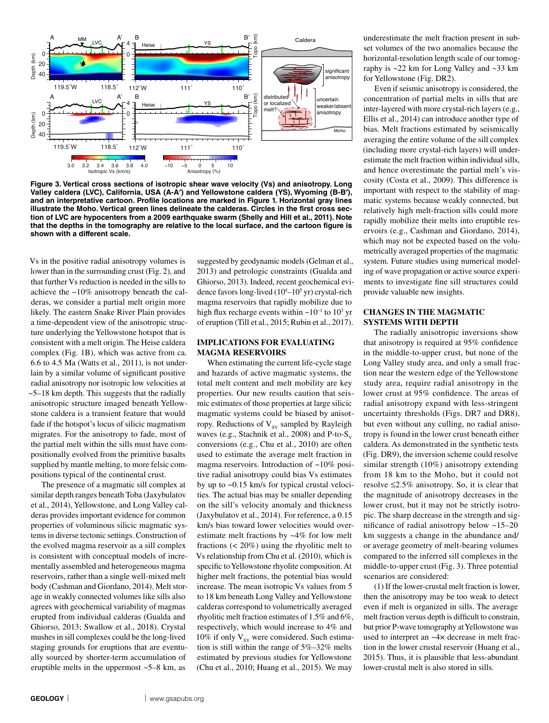

**Figure 3. Vertical cross sections of isotropic shear wave velocity (Vs) and anisotropy. Long Valley caldera (LVC), California, USA (A-A**′**) and Yellowstone caldera (YS), Wyoming (B-B**′**), and an interpretative cartoon. Profile locations are marked in Figure 1. Horizontal gray lines illustrate the Moho. Vertical green lines delineate the calderas. Circles in the first cross section of LVC are hypocenters from a 2009 earthquake swarm (Shelly and Hill et al., 2011). Note that the depths in the tomography are relative to the local surface, and the cartoon figure is shown with a different scale.**

Vs in the positive radial anisotropy volumes is lower than in the surrounding crust (Fig. 2), and that further Vs reduction is needed in the sills to achieve the ~10% anisotropy beneath the calderas, we consider a partial melt origin more likely. The eastern Snake River Plain provides a time-dependent view of the anisotropic structure underlying the Yellowstone hotspot that is consistent with a melt origin. The Heise caldera complex (Fig. 1B), which was active from ca. 6.6 to 4.5 Ma (Watts et al., 2011), is not underlain by a similar volume of significant positive radial anisotropy nor isotropic low velocities at ~5–18 km depth. This suggests that the radially anisotropic structure imaged beneath Yellowstone caldera is a transient feature that would fade if the hotspot's locus of silicic magmatism migrates. For the anisotropy to fade, most of the partial melt within the sills must have compositionally evolved from the primitive basalts supplied by mantle melting, to more felsic compositions typical of the continental crust.

The presence of a magmatic sill complex at similar depth ranges beneath Toba (Jaxybulatov et al., 2014), Yellowstone, and Long Valley calderas provides important evidence for common properties of voluminous silicic magmatic systems in diverse tectonic settings. Construction of the evolved magma reservoir as a sill complex is consistent with conceptual models of incrementally assembled and heterogeneous magma reservoirs, rather than a single well-mixed melt body (Cashman and Giordano, 2014). Melt storage in weakly connected volumes like sills also agrees with geochemical variability of magmas erupted from individual calderas (Gualda and Ghiorso, 2013; Swallow et al., 2018). Crystal mushes in sill complexes could be the long-lived staging grounds for eruptions that are eventually sourced by shorter-term accumulation of eruptible melts in the uppermost  $-5-8$  km, as

suggested by geodynamic models (Gelman et al., 2013) and petrologic constraints (Gualda and Ghiorso, 2013). Indeed, recent geochemical evidence favors long-lived (10<sup>4</sup>-10<sup>5</sup> yr) crystal-rich magma reservoirs that rapidly mobilize due to high flux recharge events within  $\sim 10^{-1}$  to  $10^3$  yr of eruption (Till et al., 2015; Rubin et al., 2017).

## **IMPLICATIONS FOR EVALUATING MAGMA RESERVOIRS**

When estimating the current life-cycle stage and hazards of active magmatic systems, the total melt content and melt mobility are key properties. Our new results caution that seismic estimates of those properties at large silicic magmatic systems could be biased by anisotropy. Reductions of  $V_{SV}$  sampled by Rayleigh waves (e.g., Stachnik et al., 2008) and P-to- $S_v$ conversions (e.g., Chu et al., 2010) are often used to estimate the average melt fraction in magma reservoirs. Introduction of ~10% positive radial anisotropy could bias Vs estimates by up to ~0.15 km/s for typical crustal velocities. The actual bias may be smaller depending on the sill's velocity anomaly and thickness (Jaxybulatov et al., 2014). For reference, a 0.15 km/s bias toward lower velocities would overestimate melt fractions by ~4% for low melt fractions (< 20%) using the rhyolitic melt to Vs relationship from Chu et al. (2010), which is specific to Yellowstone rhyolite composition. At higher melt fractions, the potential bias would increase. The mean isotropic Vs values from 5 to 18 km beneath Long Valley and Yellowstone calderas correspond to volumetrically averaged rhyolitic melt fraction estimates of 1.5% and 6%, respectively, which would increase to 4% and 10% if only  $V_{sv}$  were considered. Such estimation is still within the range of 5%–32% melts estimated by previous studies for Yellowstone (Chu et al., 2010; Huang et al., 2015). We may

underestimate the melt fraction present in subset volumes of the two anomalies because the horizontal-resolution length scale of our tomography is ~22 km for Long Valley and ~33 km for Yellowstone (Fig. DR2).

Even if seismic anisotropy is considered, the concentration of partial melts in sills that are inter-layered with more crystal-rich layers (e.g., Ellis et al., 2014) can introduce another type of bias. Melt fractions estimated by seismically averaging the entire volume of the sill complex (including more crystal-rich layers) will underestimate the melt fraction within individual sills, and hence overestimate the partial melt's viscosity (Costa et al., 2009). This difference is important with respect to the stability of magmatic systems because weakly connected, but relatively high melt-fraction sills could more rapidly mobilize their melts into eruptible reservoirs (e.g., Cashman and Giordano, 2014), which may not be expected based on the volumetrically averaged properties of the magmatic system. Future studies using numerical modeling of wave propagation or active source experiments to investigate fine sill structures could provide valuable new insights.

### **CHANGES IN THE MAGMATIC SYSTEMS WITH DEPTH**

The radially anisotropic inversions show that anisotropy is required at 95% confidence in the middle-to-upper crust, but none of the Long Valley study area, and only a small fraction near the western edge of the Yellowstone study area, require radial anisotropy in the lower crust at 95% confidence. The areas of radial anisotropy expand with less-stringent uncertainty thresholds (Figs. DR7 and DR8), but even without any culling, no radial anisotropy is found in the lower crust beneath either caldera. As demonstrated in the synthetic tests (Fig. DR9), the inversion scheme could resolve similar strength (10%) anisotropy extending from 18 km to the Moho, but it could not resolve  $\leq$ 2.5% anisotropy. So, it is clear that the magnitude of anisotropy decreases in the lower crust, but it may not be strictly isotropic. The sharp decrease in the strength and significance of radial anisotropy below ~15–20 km suggests a change in the abundance and/ or average geometry of melt-bearing volumes compared to the inferred sill complexes in the middle-to-upper crust (Fig. 3). Three potential scenarios are considered:

(1) If the lower-crustal melt fraction is lower, then the anisotropy may be too weak to detect even if melt is organized in sills. The average melt fraction versus depth is difficult to constrain, but prior P-wave tomography at Yellowstone was used to interpret an ~4× decrease in melt fraction in the lower crustal reservoir (Huang et al., 2015). Thus, it is plausible that less-abundant lower-crustal melt is also stored in sills.